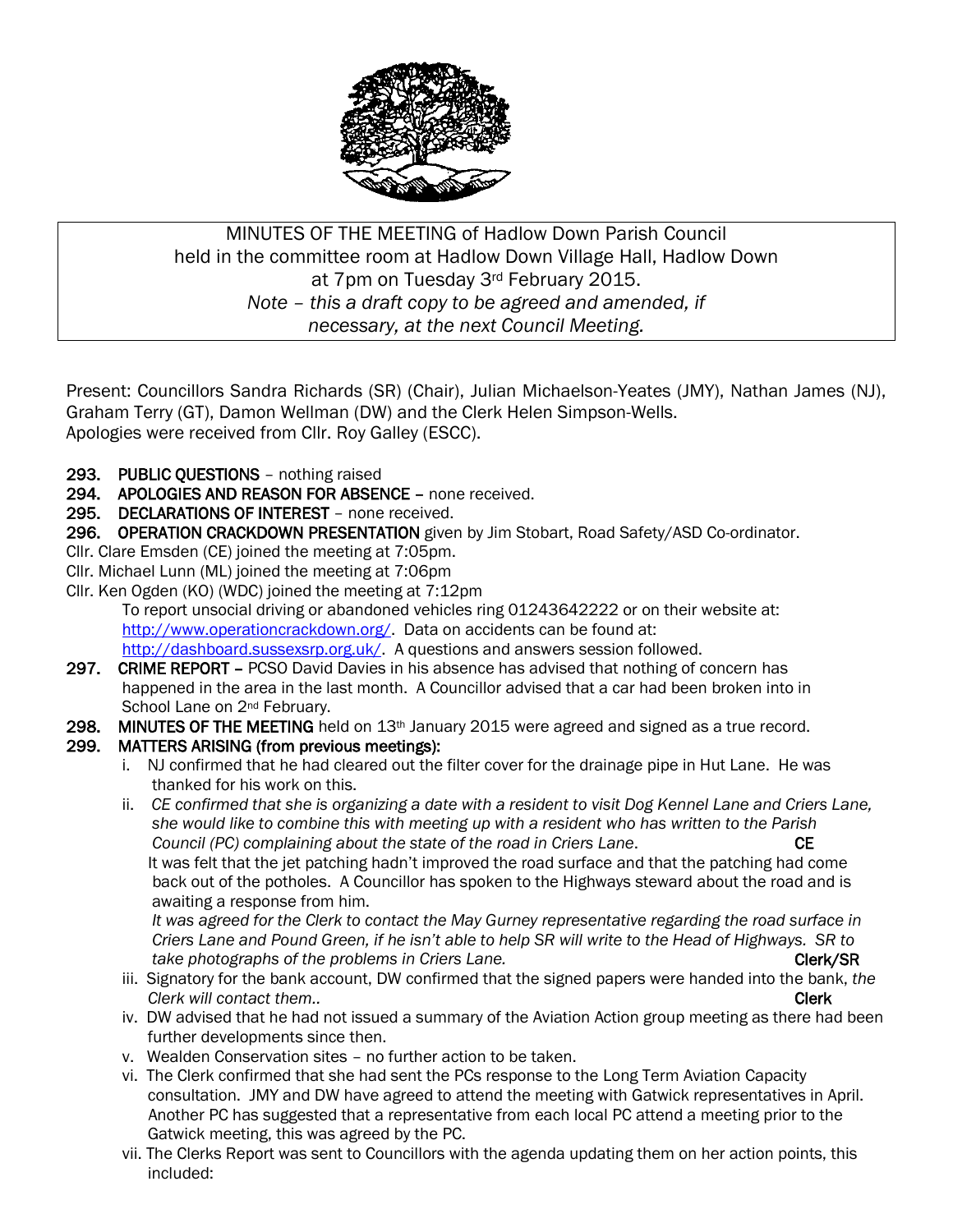

# MINUTES OF THE MEETING of Hadlow Down Parish Council held in the committee room at Hadlow Down Village Hall, Hadlow Down at 7pm on Tuesday 3rd February 2015. *Note – this a draft copy to be agreed and amended, if necessary, at the next Council Meeting.*

Present: Councillors Sandra Richards (SR) (Chair), Julian Michaelson-Yeates (JMY), Nathan James (NJ), Graham Terry (GT), Damon Wellman (DW) and the Clerk Helen Simpson-Wells. Apologies were received from Cllr. Roy Galley (ESCC).

- 293. PUBLIC QUESTIONS nothing raised
- 294. APOLOGIES AND REASON FOR ABSENCE none received.
- 295. DECLARATIONS OF INTEREST none received.
- 296. OPERATION CRACKDOWN PRESENTATION given by Jim Stobart, Road Safety/ASD Co-ordinator.
- Cllr. Clare Emsden (CE) joined the meeting at 7:05pm.
- Cllr. Michael Lunn (ML) joined the meeting at 7:06pm
- Cllr. Ken Ogden (KO) (WDC) joined the meeting at 7:12pm

To report unsocial driving or abandoned vehicles ring 01243642222 or on their website at: [http://www.operationcrackdown.org/.](http://www.operationcrackdown.org/) Data on accidents can be found at: [http://dashboard.sussexsrp.org.uk/.](http://dashboard.sussexsrp.org.uk/) A questions and answers session followed.

- 297. CRIME REPORT PCSO David Davies in his absence has advised that nothing of concern has happened in the area in the last month. A Councillor advised that a car had been broken into in School Lane on 2<sup>nd</sup> February.
- 298. MINUTES OF THE MEETING held on 13<sup>th</sup> January 2015 were agreed and signed as a true record.

## 299. MATTERS ARISING (from previous meetings):

- i. NJ confirmed that he had cleared out the filter cover for the drainage pipe in Hut Lane. He was thanked for his work on this.
- ii. *CE confirmed that she is organizing a date with a resident to visit Dog Kennel Lane and Criers Lane, she would like to combine this with meeting up with a resident who has written to the Parish Council (PC) complaining about the state of the road in Criers Lane*. CE It was felt that the jet patching hadn't improved the road surface and that the patching had come back out of the potholes. A Councillor has spoken to the Highways steward about the road and is awaiting a response from him.

 *It was agreed for the Clerk to contact the May Gurney representative regarding the road surface in Criers Lane and Pound Green, if he isn't able to help SR will write to the Head of Highways. SR to take photographs of the problems in Criers Lane.* Compared **Clerk/SR** 

- iii. Signatory for the bank account, DW confirmed that the signed papers were handed into the bank, *the Clerk will contact them..* **Clerk** 2.1 **Clerk** 2.1 **Clerk** 2.1 **Clerk** 2.1 **Clerk** 2.1 **Clerk** 2.1 **Clerk**
- iv. DW advised that he had not issued a summary of the Aviation Action group meeting as there had been further developments since then.
- v. Wealden Conservation sites no further action to be taken.
- vi. The Clerk confirmed that she had sent the PCs response to the Long Term Aviation Capacity consultation. JMY and DW have agreed to attend the meeting with Gatwick representatives in April. Another PC has suggested that a representative from each local PC attend a meeting prior to the Gatwick meeting, this was agreed by the PC.
- vii. The Clerks Report was sent to Councillors with the agenda updating them on her action points, this included: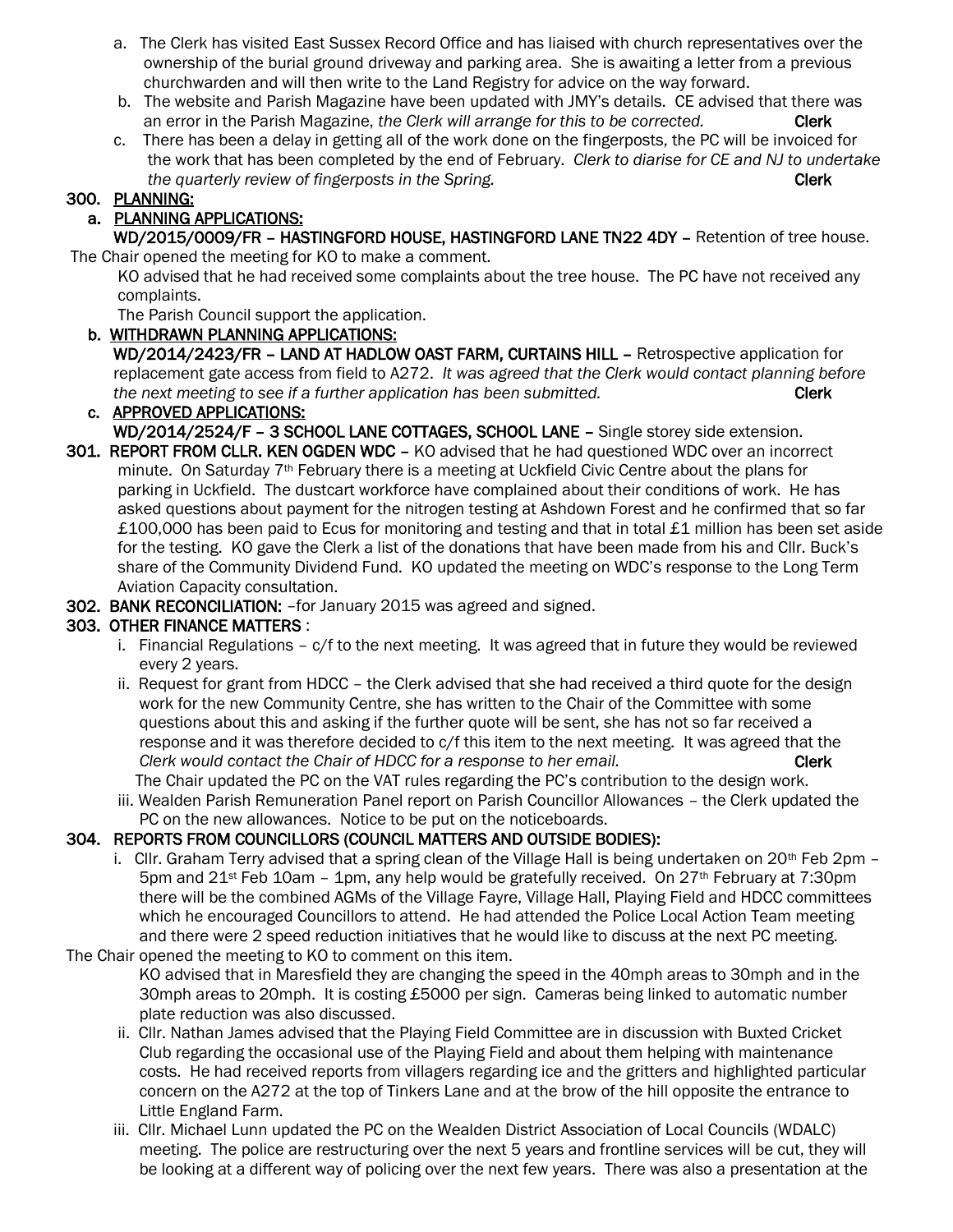- a. The Clerk has visited East Sussex Record Office and has liaised with church representatives over the ownership of the burial ground driveway and parking area. She is awaiting a letter from a previous churchwarden and will then write to the Land Registry for advice on the way forward.
- b. The website and Parish Magazine have been updated with JMY's details. CE advised that there was an error in the Parish Magazine, *the Clerk will arrange for this to be corrected.* Clerk
- c. There has been a delay in getting all of the work done on the fingerposts, the PC will be invoiced for the work that has been completed by the end of February. *Clerk to diarise for CE and NJ to undertake the quarterly review of fingerposts in the Spring.* The contract term of the **Clerk**

### 300. PLANNING:

# a. PLANNING APPLICATIONS:

 WD/2015/0009/FR – HASTINGFORD HOUSE, HASTINGFORD LANE TN22 4DY – Retention of tree house. The Chair opened the meeting for KO to make a comment.

 KO advised that he had received some complaints about the tree house. The PC have not received any complaints.

The Parish Council support the application.

- b. WITHDRAWN PLANNING APPLICATIONS: WD/2014/2423/FR – LAND AT HADLOW OAST FARM, CURTAINS HILL – Retrospective application for
- replacement gate access from field to A272. *It was agreed that the Clerk would contact planning before the next meeting to see if a further application has been submitted.* Clerk Clerk c. APPROVED APPLICATIONS:
- WD/2014/2524/F 3 SCHOOL LANE COTTAGES, SCHOOL LANE Single storey side extension.
- 301. REPORT FROM CLLR. KEN OGDEN WDC KO advised that he had questioned WDC over an incorrect minute. On Saturday  $7<sup>th</sup>$  February there is a meeting at Uckfield Civic Centre about the plans for parking in Uckfield. The dustcart workforce have complained about their conditions of work. He has asked questions about payment for the nitrogen testing at Ashdown Forest and he confirmed that so far £100,000 has been paid to Ecus for monitoring and testing and that in total £1 million has been set aside for the testing. KO gave the Clerk a list of the donations that have been made from his and Cllr. Buck's share of the Community Dividend Fund. KO updated the meeting on WDC's response to the Long Term Aviation Capacity consultation.
- 302. BANK RECONCILIATION: –for January 2015 was agreed and signed.

## 303. OTHER FINANCE MATTERS :

- i. Financial Regulations c/f to the next meeting. It was agreed that in future they would be reviewed every 2 years.
- ii. Request for grant from HDCC the Clerk advised that she had received a third quote for the design work for the new Community Centre, she has written to the Chair of the Committee with some questions about this and asking if the further quote will be sent, she has not so far received a response and it was therefore decided to c/f this item to the next meeting. It was agreed that the *Clerk would contact the Chair of HDCC for a response to her email.* Clerk **Clerk** The Chair updated the PC on the VAT rules regarding the PC's contribution to the design work.
- iii. Wealden Parish Remuneration Panel report on Parish Councillor Allowances the Clerk updated the PC on the new allowances. Notice to be put on the noticeboards.

## 304. REPORTS FROM COUNCILLORS (COUNCIL MATTERS AND OUTSIDE BODIES):

- i. Cllr. Graham Terry advised that a spring clean of the Village Hall is being undertaken on 20th Feb 2pm  $-$ 5pm and  $21^{st}$  Feb 10am – 1pm, any help would be gratefully received. On  $27^{th}$  February at 7:30pm there will be the combined AGMs of the Village Fayre, Village Hall, Playing Field and HDCC committees which he encouraged Councillors to attend. He had attended the Police Local Action Team meeting and there were 2 speed reduction initiatives that he would like to discuss at the next PC meeting.
- The Chair opened the meeting to KO to comment on this item. KO advised that in Maresfield they are changing the speed in the 40mph areas to 30mph and in the 30mph areas to 20mph. It is costing £5000 per sign. Cameras being linked to automatic number plate reduction was also discussed.
	- ii. Cllr. Nathan James advised that the Playing Field Committee are in discussion with Buxted Cricket Club regarding the occasional use of the Playing Field and about them helping with maintenance costs. He had received reports from villagers regarding ice and the gritters and highlighted particular concern on the A272 at the top of Tinkers Lane and at the brow of the hill opposite the entrance to Little England Farm.
	- iii. Cllr. Michael Lunn updated the PC on the Wealden District Association of Local Councils (WDALC) meeting. The police are restructuring over the next 5 years and frontline services will be cut, they will be looking at a different way of policing over the next few years. There was also a presentation at the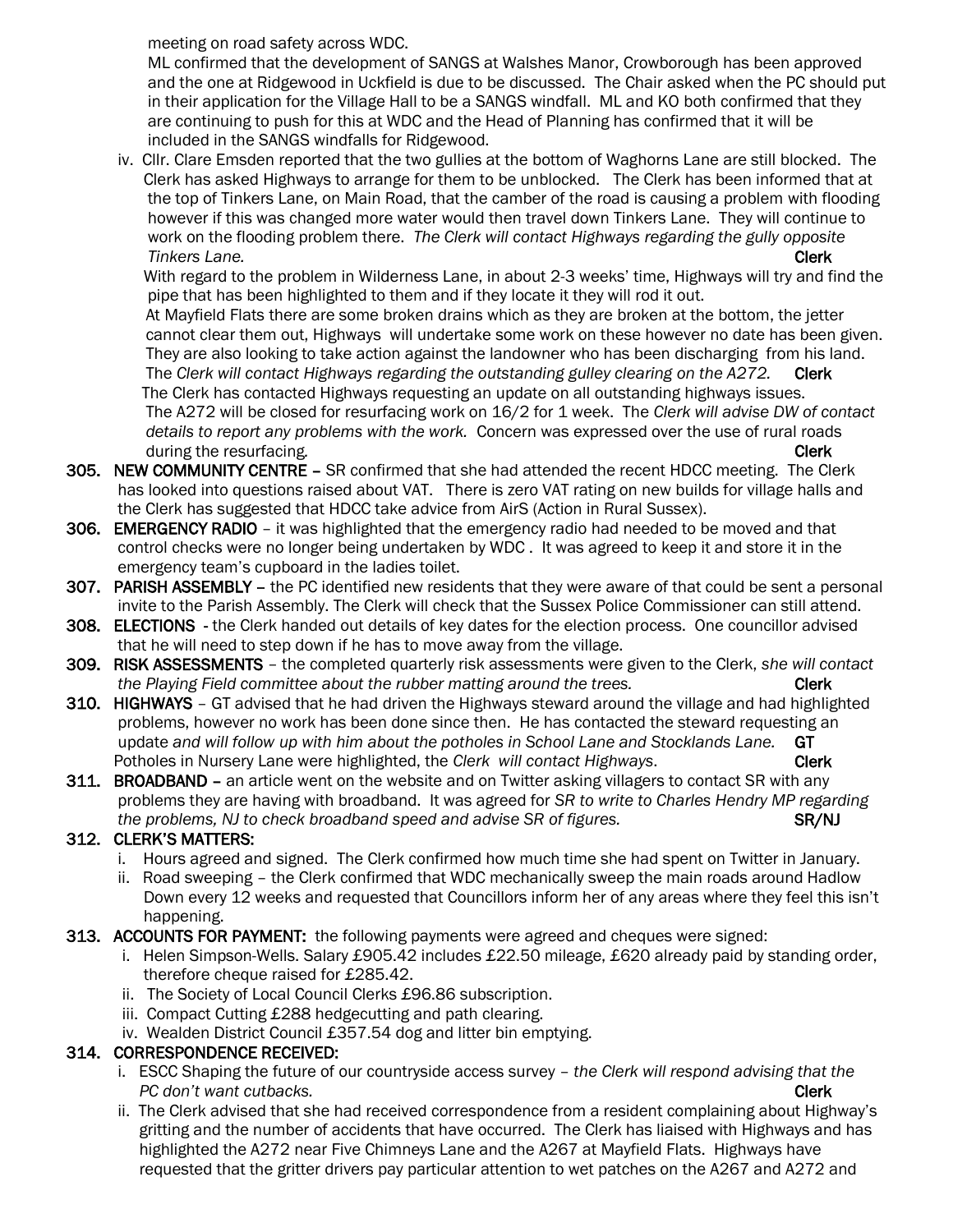meeting on road safety across WDC.

 ML confirmed that the development of SANGS at Walshes Manor, Crowborough has been approved and the one at Ridgewood in Uckfield is due to be discussed. The Chair asked when the PC should put in their application for the Village Hall to be a SANGS windfall. ML and KO both confirmed that they are continuing to push for this at WDC and the Head of Planning has confirmed that it will be included in the SANGS windfalls for Ridgewood.

 iv. Cllr. Clare Emsden reported that the two gullies at the bottom of Waghorns Lane are still blocked. The Clerk has asked Highways to arrange for them to be unblocked. The Clerk has been informed that at the top of Tinkers Lane, on Main Road, that the camber of the road is causing a problem with flooding however if this was changed more water would then travel down Tinkers Lane. They will continue to work on the flooding problem there. *The Clerk will contact Highways regarding the gully opposite Tinkers Lane.* Clerk

 With regard to the problem in Wilderness Lane, in about 2-3 weeks' time, Highways will try and find the pipe that has been highlighted to them and if they locate it they will rod it out.

 At Mayfield Flats there are some broken drains which as they are broken at the bottom, the jetter cannot clear them out, Highways will undertake some work on these however no date has been given. They are also looking to take action against the landowner who has been discharging from his land. The *Clerk will contact Highways regarding the outstanding gulley clearing on the A272.* Clerk The Clerk has contacted Highways requesting an update on all outstanding highways issues. The A272 will be closed for resurfacing work on 16/2 for 1 week. The *Clerk will advise DW of contact details to report any problems with the work.* Concern was expressed over the use of rural roads *during the resurfacing.* Clerk **Clerk** *Clerk* 

- 305. NEW COMMUNITY CENTRE SR confirmed that she had attended the recent HDCC meeting. The Clerk has looked into questions raised about VAT. There is zero VAT rating on new builds for village halls and the Clerk has suggested that HDCC take advice from AirS (Action in Rural Sussex).
- 306. EMERGENCY RADIO it was highlighted that the emergency radio had needed to be moved and that control checks were no longer being undertaken by WDC . It was agreed to keep it and store it in the emergency team's cupboard in the ladies toilet.
- 307. PARISH ASSEMBLY the PC identified new residents that they were aware of that could be sent a personal invite to the Parish Assembly. The Clerk will check that the Sussex Police Commissioner can still attend.
- 308. ELECTIONS the Clerk handed out details of key dates for the election process. One councillor advised that he will need to step down if he has to move away from the village.
- 309. RISK ASSESSMENTS the completed quarterly risk assessments were given to the Clerk, *she will contact the Playing Field committee about the rubber matting around the trees.* Clerk
- 310. HIGHWAYS GT advised that he had driven the Highways steward around the village and had highlighted problems, however no work has been done since then. He has contacted the steward requesting an update *and will follow up with him about the potholes in School Lane and Stocklands Lane.* GT Potholes in Nursery Lane were highlighted, the *Clerk will contact Highways*. Clerk
- 311. BROADBAND an article went on the website and on Twitter asking villagers to contact SR with any problems they are having with broadband. It was agreed for *SR to write to Charles Hendry MP regarding the problems, NJ to check broadband speed and advise SR of figures.* SR/NJ SR/NJ

# 312. CLERK'S MATTERS:

- i. Hours agreed and signed. The Clerk confirmed how much time she had spent on Twitter in January.
- ii. Road sweeping the Clerk confirmed that WDC mechanically sweep the main roads around Hadlow Down every 12 weeks and requested that Councillors inform her of any areas where they feel this isn't happening.

## 313. ACCOUNTS FOR PAYMENT: the following payments were agreed and cheques were signed:

- i. Helen Simpson-Wells. Salary £905.42 includes £22.50 mileage, £620 already paid by standing order, therefore cheque raised for £285.42.
- ii. The Society of Local Council Clerks £96.86 subscription.
- iii. Compact Cutting £288 hedgecutting and path clearing.
- iv. Wealden District Council £357.54 dog and litter bin emptying.

## 314. CORRESPONDENCE RECEIVED:

- i. ESCC Shaping the future of our countryside access survey *the Clerk will respond advising that the PC don't want cutbacks.* Clerk and the contract of the contract of the clerk clerk clerk clerk
- ii. The Clerk advised that she had received correspondence from a resident complaining about Highway's gritting and the number of accidents that have occurred. The Clerk has liaised with Highways and has highlighted the A272 near Five Chimneys Lane and the A267 at Mayfield Flats. Highways have requested that the gritter drivers pay particular attention to wet patches on the A267 and A272 and